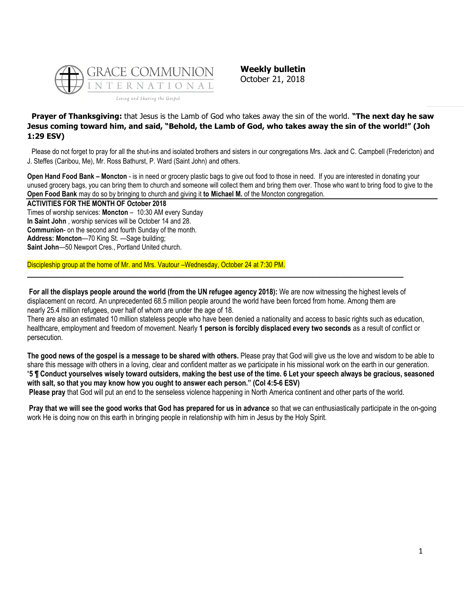

**Weekly bulletin** October 21, 2018

# **Prayer of Thanksgiving:** that Jesus is the Lamb of God who takes away the sin of the world. **"The next day he saw Jesus coming toward him, and said, "Behold, the Lamb of God, who takes away the sin of the world!" (Joh 1:29 ESV)**

Please do not forget to pray for all the shut-ins and isolated brothers and sisters in our congregations Mrs. Jack and C. Campbell (Fredericton) and J. Steffes (Caribou, Me), Mr. Ross Bathurst, P. Ward (Saint John) and others.

**Open Hand Food Bank – Moncton** - is in need or grocery plastic bags to give out food to those in need. If you are interested in donating your unused grocery bags, you can bring them to church and someone will collect them and bring them over. Those who want to bring food to give to the **Open Food Bank** may do so by bringing to church and giving it **to Michael M.** of the Moncton congregation.

**ACTIVITIES FOR THE MONTH OF October 2018**

Times of worship services: **Moncton** – 10:30 AM every Sunday **In Saint John** , worship services will be October 14 and 28. **Communion**- on the second and fourth Sunday of the month. **Address: Moncton**—70 King St. —Sage building; **Saint John**—50 Newport Cres., Portland United church.

Discipleship group at the home of Mr. and Mrs. Vautour –Wednesday, October 24 at 7:30 PM.

**For all the displays people around the world (from the UN refugee agency 2018):** We are now witnessing the highest levels of displacement on record. An unprecedented 68.5 million people around the world have been forced from home. Among them are nearly 25.4 million refugees, over half of whom are under the age of 18.

**\_\_\_\_\_\_\_\_\_\_\_\_\_\_\_\_\_\_\_\_\_\_\_\_\_\_\_\_\_\_\_\_\_\_\_\_\_\_\_\_\_\_\_\_\_\_\_\_\_\_\_\_\_\_\_\_\_\_\_\_\_\_\_\_\_\_\_\_\_\_\_\_\_\_\_\_\_\_**

There are also an estimated 10 million stateless people who have been denied a nationality and access to basic rights such as education, healthcare, employment and freedom of movement. Nearly **1 person is forcibly displaced every two seconds** as a result of conflict or persecution.

**The good news of the gospel is a message to be shared with others.** Please pray that God will give us the love and wisdom to be able to share this message with others in a loving, clear and confident matter as we participate in his missional work on the earth in our generation. "**5 ¶ Conduct yourselves wisely toward outsiders, making the best use of the time. 6 Let your speech always be gracious, seasoned with salt, so that you may know how you ought to answer each person." (Col 4:5-6 ESV)**

**Please pray** that God will put an end to the senseless violence happening in North America continent and other parts of the world.

**Pray that we will see the good works that God has prepared for us in advance** so that we can enthusiastically participate in the on-going work He is doing now on this earth in bringing people in relationship with him in Jesus by the Holy Spirit.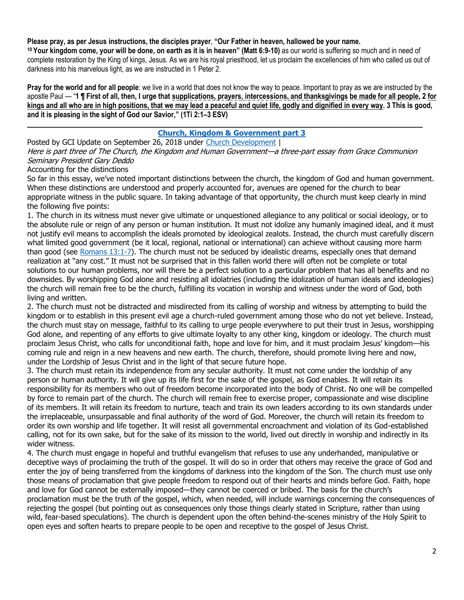**Please pray, as per Jesus instructions, the disciples prayer**, **"Our Father in heaven, hallowed be your name.**

**<sup>10</sup> Your kingdom come, your will be done, on earth as it is in heaven" (Matt 6:9-10)** as our world is suffering so much and in need of complete restoration by the King of kings, Jesus. As we are his royal priesthood, let us proclaim the excellencies of him who called us out of darkness into his marvelous light, as we are instructed in 1 Peter 2.

**Pray for the world and for all people**: we live in a world that does not know the way to peace. Important to pray as we are instructed by the apostle Paul — "**1 ¶ First of all, then, I urge that supplications, prayers, intercessions, and thanksgivings be made for all people, 2 for kings and all who are in high positions, that we may lead a peaceful and quiet life, godly and dignified in every way. 3 This is good, and it is pleasing in the sight of God our Savior," (1Ti 2:1–3 ESV)**

# **[Church, Kingdom & Government part 3](https://update.gci.org/2018/09/church-kingdom-government-part-3/)**

Posted by GCI Update on September 26, 2018 under [Church Development](https://update.gci.org/category/churchdev/) | Here is part three of The Church, the Kingdom and Human Government—a three-part essay from Grace Communion Seminary President Gary Deddo

**\_\_\_\_\_\_\_\_\_\_\_\_\_\_\_\_\_\_\_\_\_\_\_\_\_\_\_\_\_\_\_\_\_\_\_\_\_\_\_\_\_\_\_\_\_\_\_\_\_\_\_\_\_\_\_\_\_\_\_\_\_\_\_\_\_\_\_\_\_\_\_\_\_\_\_\_\_\_\_\_\_\_**

# Accounting for the distinctions

So far in this essay, we've noted important distinctions between the church, the kingdom of God and human government. When these distinctions are understood and properly accounted for, avenues are opened for the church to bear appropriate witness in the public square. In taking advantage of that opportunity, the church must keep clearly in mind the following five points:

1. The church in its witness must never give ultimate or unquestioned allegiance to any political or social ideology, or to the absolute rule or reign of any person or human institution. It must not idolize any humanly imagined ideal, and it must not justify evil means to accomplish the ideals promoted by ideological zealots. Instead, the church must carefully discern what limited good government (be it local, regional, national or international) can achieve without causing more harm than good (see Romans  $13:1-7$ ). The church must not be seduced by idealistic dreams, especially ones that demand realization at "any cost." It must not be surprised that in this fallen world there will often not be complete or total solutions to our human problems, nor will there be a perfect solution to a particular problem that has all benefits and no downsides. By worshipping God alone and resisting all idolatries (including the idolization of human ideals and ideologies) the church will remain free to be the church, fulfilling its vocation in worship and witness under the word of God, both living and written.

2. The church must not be distracted and misdirected from its calling of worship and witness by attempting to build the kingdom or to establish in this present evil age a church-ruled government among those who do not yet believe. Instead, the church must stay on message, faithful to its calling to urge people everywhere to put their trust in Jesus, worshipping God alone, and repenting of any efforts to give ultimate loyalty to any other king, kingdom or ideology. The church must proclaim Jesus Christ, who calls for unconditional faith, hope and love for him, and it must proclaim Jesus' kingdom—his coming rule and reign in a new heavens and new earth. The church, therefore, should promote living here and now, under the Lordship of Jesus Christ and in the light of that secure future hope.

3. The church must retain its independence from any secular authority. It must not come under the lordship of any person or human authority. It will give up its life first for the sake of the gospel, as God enables. It will retain its responsibility for its members who out of freedom become incorporated into the body of Christ. No one will be compelled by force to remain part of the church. The church will remain free to exercise proper, compassionate and wise discipline of its members. It will retain its freedom to nurture, teach and train its own leaders according to its own standards under the irreplaceable, unsurpassable and final authority of the word of God. Moreover, the church will retain its freedom to order its own worship and life together. It will resist all governmental encroachment and violation of its God-established calling, not for its own sake, but for the sake of its mission to the world, lived out directly in worship and indirectly in its wider witness.

4. The church must engage in hopeful and truthful evangelism that refuses to use any underhanded, manipulative or deceptive ways of proclaiming the truth of the gospel. It will do so in order that others may receive the grace of God and enter the joy of being transferred from the kingdoms of darkness into the kingdom of the Son. The church must use only those means of proclamation that give people freedom to respond out of their hearts and minds before God. Faith, hope and love for God cannot be externally imposed—they cannot be coerced or bribed. The basis for the church's proclamation must be the truth of the gospel, which, when needed, will include warnings concerning the consequences of rejecting the gospel (but pointing out as consequences only those things clearly stated in Scripture, rather than using wild, fear-based speculations). The church is dependent upon the often behind-the-scenes ministry of the Holy Spirit to open eyes and soften hearts to prepare people to be open and receptive to the gospel of Jesus Christ.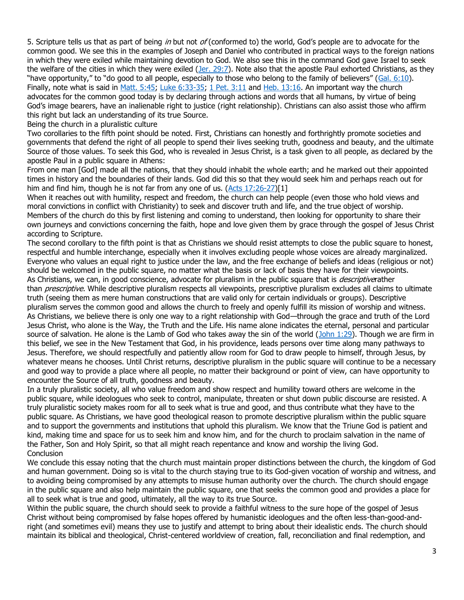5. Scripture tells us that as part of being in but not  $of$  (conformed to) the world, God's people are to advocate for the common good. We see this in the examples of Joseph and Daniel who contributed in practical ways to the foreign nations in which they were exiled while maintaining devotion to God. We also see this in the command God gave Israel to seek the welfare of the cities in which they were exiled  $(Jer. 29:7)$ . Note also that the apostle Paul exhorted Christians, as they "have opportunity," to "do good to all people, especially to those who belong to the family of believers" ([Gal. 6:10\)](https://biblia.com/bible/niv/Gal.%206.10). Finally, note what is said in [Matt. 5:45;](https://biblia.com/bible/niv/Matt.%205.45) [Luke 6:33-35;](https://biblia.com/bible/niv/Luke%206.33-35) [1 Pet. 3:11](https://biblia.com/bible/niv/1%20Pet.%203.11) and [Heb. 13:16.](https://biblia.com/bible/niv/Heb.%2013.16) An important way the church advocates for the common good today is by declaring through actions and words that all humans, by virtue of being God's image bearers, have an inalienable right to justice (right relationship). Christians can also assist those who affirm this right but lack an understanding of its true Source.

Being the church in a pluralistic culture

Two corollaries to the fifth point should be noted. First, Christians can honestly and forthrightly promote societies and governments that defend the right of all people to spend their lives seeking truth, goodness and beauty, and the ultimate Source of those values. To seek this God, who is revealed in Jesus Christ, is a task given to all people, as declared by the apostle Paul in a public square in Athens:

From one man [God] made all the nations, that they should inhabit the whole earth; and he marked out their appointed times in history and the boundaries of their lands. God did this so that they would seek him and perhaps reach out for him and find him, though he is not far from any one of us. [\(Acts 17:26-27\)](https://biblia.com/bible/niv/Acts%2017.26-27)[1]

When it reaches out with humility, respect and freedom, the church can help people (even those who hold views and moral convictions in conflict with Christianity) to seek and discover truth and life, and the true object of worship. Members of the church do this by first listening and coming to understand, then looking for opportunity to share their own journeys and convictions concerning the faith, hope and love given them by grace through the gospel of Jesus Christ according to Scripture.

The second corollary to the fifth point is that as Christians we should resist attempts to close the public square to honest, respectful and humble interchange, especially when it involves excluding people whose voices are already marginalized. Everyone who values an equal right to justice under the law, and the free exchange of beliefs and ideas (religious or not) should be welcomed in the public square, no matter what the basis or lack of basis they have for their viewpoints. As Christians, we can, in good conscience, advocate for pluralism in the public square that is *descriptive*rather than *prescriptive*. While descriptive pluralism respects all viewpoints, prescriptive pluralism excludes all claims to ultimate truth (seeing them as mere human constructions that are valid only for certain individuals or groups). Descriptive pluralism serves the common good and allows the church to freely and openly fulfill its mission of worship and witness. As Christians, we believe there is only one way to a right relationship with God—through the grace and truth of the Lord Jesus Christ, who alone is the Way, the Truth and the Life. His name alone indicates the eternal, personal and particular source of salvation. He alone is the Lamb of God who takes away the sin of the world [\(John 1:29\)](https://biblia.com/bible/niv/John%201.29). Though we are firm in this belief, we see in the New Testament that God, in his providence, leads persons over time along many pathways to Jesus. Therefore, we should respectfully and patiently allow room for God to draw people to himself, through Jesus, by whatever means he chooses. Until Christ returns, descriptive pluralism in the public square will continue to be a necessary and good way to provide a place where all people, no matter their background or point of view, can have opportunity to encounter the Source of all truth, goodness and beauty.

In a truly pluralistic society, all who value freedom and show respect and humility toward others are welcome in the public square, while ideologues who seek to control, manipulate, threaten or shut down public discourse are resisted. A truly pluralistic society makes room for all to seek what is true and good, and thus contribute what they have to the public square. As Christians, we have good theological reason to promote descriptive pluralism within the public square and to support the governments and institutions that uphold this pluralism. We know that the Triune God is patient and kind, making time and space for us to seek him and know him, and for the church to proclaim salvation in the name of the Father, Son and Holy Spirit, so that all might reach repentance and know and worship the living God. **Conclusion** 

We conclude this essay noting that the church must maintain proper distinctions between the church, the kingdom of God and human government. Doing so is vital to the church staying true to its God-given vocation of worship and witness, and to avoiding being compromised by any attempts to misuse human authority over the church. The church should engage in the public square and also help maintain the public square, one that seeks the common good and provides a place for all to seek what is true and good, ultimately, all the way to its true Source.

Within the public square, the church should seek to provide a faithful witness to the sure hope of the gospel of Jesus Christ without being compromised by false hopes offered by humanistic ideologues and the often less-than-good-andright (and sometimes evil) means they use to justify and attempt to bring about their idealistic ends. The church should maintain its biblical and theological, Christ-centered worldview of creation, fall, reconciliation and final redemption, and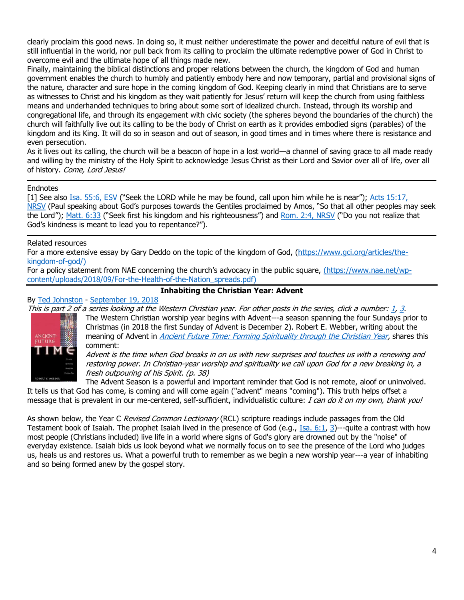clearly proclaim this good news. In doing so, it must neither underestimate the power and deceitful nature of evil that is still influential in the world, nor pull back from its calling to proclaim the ultimate redemptive power of God in Christ to overcome evil and the ultimate hope of all things made new.

Finally, maintaining the biblical distinctions and proper relations between the church, the kingdom of God and human government enables the church to humbly and patiently embody here and now temporary, partial and provisional signs of the nature, character and sure hope in the coming kingdom of God. Keeping clearly in mind that Christians are to serve as witnesses to Christ and his kingdom as they wait patiently for Jesus' return will keep the church from using faithless means and underhanded techniques to bring about some sort of idealized church. Instead, through its worship and congregational life, and through its engagement with civic society (the spheres beyond the boundaries of the church) the church will faithfully live out its calling to be the body of Christ on earth as it provides embodied signs (parables) of the kingdom and its King. It will do so in season and out of season, in good times and in times where there is resistance and even persecution.

As it lives out its calling, the church will be a beacon of hope in a lost world—a channel of saving grace to all made ready and willing by the ministry of the Holy Spirit to acknowledge Jesus Christ as their Lord and Savior over all of life, over all of history. Come, Lord Jesus!

### **Endnotes**

[1] See also [Isa. 55:6, ESV](https://biblia.com/bible/esv/Isa.%2055.6) ("Seek the LORD while he may be found, call upon him while he is near"); [Acts 15:17,](https://biblia.com/bible/nrsv/Acts%2015.17)  [NRSV](https://biblia.com/bible/nrsv/Acts%2015.17) (Paul speaking about God's purposes towards the Gentiles proclaimed by Amos, "So that all other peoples may seek the Lord"); [Matt. 6:33](https://biblia.com/bible/niv/Matt.%206.33) ("Seek first his kingdom and his righteousness") and [Rom. 2:4, NRSV](https://biblia.com/bible/nrsv/Rom.%202.4) ("Do you not realize that God's kindness is meant to lead you to repentance?").

# Related resources

For a more extensive essay by Gary Deddo on the topic of the kingdom of God, [\(https://www.gci.org/articles/the](https://www.gci.org/articles/the-kingdom-of-god/)[kingdom-of-god/\)](https://www.gci.org/articles/the-kingdom-of-god/)

For a policy statement from NAE concerning the church's advocacy in the public square, [\(https://www.nae.net/wp](https://www.nae.net/wp-content/uploads/2018/09/For-the-Health-of-the-Nation_spreads.pdf)[content/uploads/2018/09/For-the-Health-of-the-Nation\\_spreads.pdf\)](https://www.nae.net/wp-content/uploads/2018/09/For-the-Health-of-the-Nation_spreads.pdf)

#### **Inhabiting the Christian Year: Advent** By [Ted Johnston](https://www.blogger.com/profile/08677739021765621811) - [September 19, 2018](http://thesurprisinggodblog.gci.org/2018/09/inhabiting-christian-worship-year-advent.html)

This is [p](https://1.bp.blogspot.com/-9Nabrbyr2TY/W6J3w2kWMuI/AAAAAAAAEEk/ZF8AUvdSWo0hNKZoNc0d-lU9kGnu8aoeQCLcBGAs/s1600/Ancient+Future.JPG)art 2 of a series looking at the Western Christian year. For other posts in the series, click a number: [1,](http://thesurprisinggodblog.gci.org/2018/09/inhabiting-christian-worship-year.html) [3.](http://thesurprisinggodblog.gci.org/2018/10/inhabiting-christian-ear-christmas.html)



The Western Christian worship year begins with Advent---a season spanning the four Sundays prior to Christmas (in 2018 the first Sunday of Advent is December 2). Robert E. Webber, writing about the meaning of Advent in [Ancient Future Time: Forming Spirituality through the Christian Year,](https://books.google.com/books?id=-YmvoBatBZwC&printsec=frontcover#v=onepage&q&f=false) shares this comment:

Advent is the time when God breaks in on us with new surprises and touches us with a renewing and restoring power. In Christian-year worship and spirituality we call upon God for a new breaking in, a fresh outpouring of his Spirit. (p. 38)

The Advent Season is a powerful and important reminder that God is not remote, aloof or uninvolved. It tells us that God has come, is coming and will come again ("advent" means "coming"). This truth helps offset a

message that is prevalent in our me-centered, self-sufficient, individualistic culture: I can do it on my own, thank you!

As shown below, the Year C Revised Common Lectionary (RCL) scripture readings include passages from the Old Testament book of Isaiah. The prophet Isaiah lived in the presence of God (e.g.,  $I$ sa. 6:1, [3\)](https://biblia.com/bible/niv/Isa%206.3)---quite a contrast with how most people (Christians included) live life in a world where signs of God's glory are drowned out by the "noise" of everyday existence. Isaiah bids us look beyond what we normally focus on to see the presence of the Lord who judges us, heals us and restores us. What a powerful truth to remember as we begin a new worship year---a year of inhabiting and so being formed anew by the gospel story.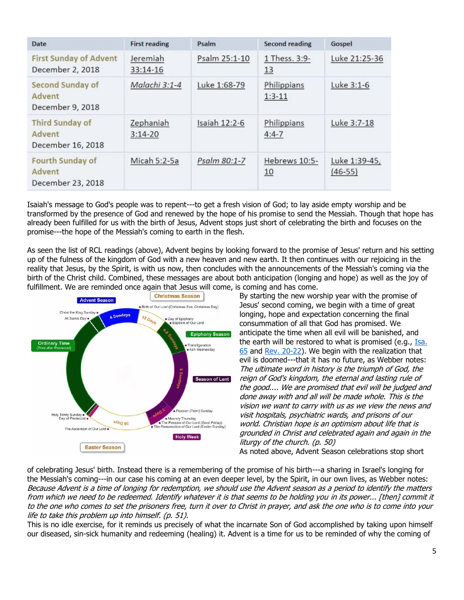| Date                                                  | <b>First reading</b>   | Psalm         | Second reading           | Gospel                     |
|-------------------------------------------------------|------------------------|---------------|--------------------------|----------------------------|
| <b>First Sunday of Advent</b><br>December 2, 2018     | Jeremiah<br>33:14-16   | Psalm 25:1-10 | 1 Thess. 3:9-<br>13      | Luke 21:25-36              |
| Second Sunday of<br>Advent<br>December 9, 2018        | Malachi 3:1-4          | Luke 1:68-79  | Philippians<br>$1:3-11$  | Luke 3:1-6                 |
| <b>Third Sunday of</b><br>Advent<br>December 16, 2018 | Zephaniah<br>$3:14-20$ | Isaiah 12:2-6 | Philippians<br>$4:4 - 7$ | Luke 3:7-18                |
| Fourth Sunday of<br>Advent<br>December 23, 2018       | Micah 5:2-5a           | Psalm 80:1-7  | Hebrews 10:5-<br>10      | Luke 1:39-45,<br>$(46-55)$ |

Isaiah's message to God's people was to repent---to get a fresh vision of God; to lay aside empty worship and be transformed by the presence of God and renewed by the hope of his promise to send the Messiah. Though that hope has already been fulfilled for us with the birth of Jesus, Advent stops just short of celebrating the birth and focuses on the promise---the hope of the Messiah's coming to earth in the flesh.

As seen the list of RCL readings (above), Advent begins by looking forward to the promise of Jesus' return and his setting up of the fulness of the kingdom of God with a new heaven and new earth. It then continues with our rejoicing in the reality that Jesus, by the Spirit, is with us now, then concludes with the announcements of the Messiah's coming via the birth of the Christ child. Combined, these messages are about both anticipation (longing and hope) as well as the joy of f[ulfillment. We are reminded once again that Jesus will come,](https://2.bp.blogspot.com/--iu3ORtEy9k/W6KCLSP-U_I/AAAAAAAAEE8/HNpKC-P5vhcB6G9o6v1RnuGmn4dvtDGIgCLcBGAs/s1600/seasons-of-the-church-year-1.jpg) is coming and has come.



By starting the new worship year with the promise of Jesus' second coming, we begin with a time of great longing, hope and expectation concerning the final consummation of all that God has promised. We anticipate the time when all evil will be banished, and the earth will be restored to what is promised (e.g., [Isa.](https://biblia.com/bible/niv/Isa.%2065)  [65](https://biblia.com/bible/niv/Isa.%2065) and [Rev. 20-22\)](https://biblia.com/bible/niv/Rev.%2020-22). We begin with the realization that evil is doomed---that it has no future, as Webber notes: The ultimate word in history is the triumph of God, the reign of God's kingdom, the eternal and lasting rule of the good.... We are promised that evil will be judged and done away with and all will be made whole. This is the vision we want to carry with us as we view the news and visit hospitals, psychiatric wards, and prisons of our world. Christian hope is an optimism about life that is grounded in Christ and celebrated again and again in the liturgy of the church. (p. 50) As noted above, Advent Season celebrations stop short

of celebrating Jesus' birth. Instead there is a remembering of the promise of his birth---a sharing in Israel's longing for the Messiah's coming---in our case his coming at an even deeper level, by the Spirit, in our own lives, as Webber notes: Because Advent is a time of longing for redemption, we should use the Advent season as a period to identify the matters from which we need to be redeemed. Identify whatever it is that seems to be holding you in its power... [then] commit it to the one who comes to set the prisoners free, turn it over to Christ in prayer, and ask the one who is to come into your life to take this problem up into himself. (p. 51).

This is no idle exercise, for it reminds us precisely of what the incarnate Son of God accomplished by taking upon himself our diseased, sin-sick humanity and redeeming (healing) it. Advent is a time for us to be reminded of why the coming of